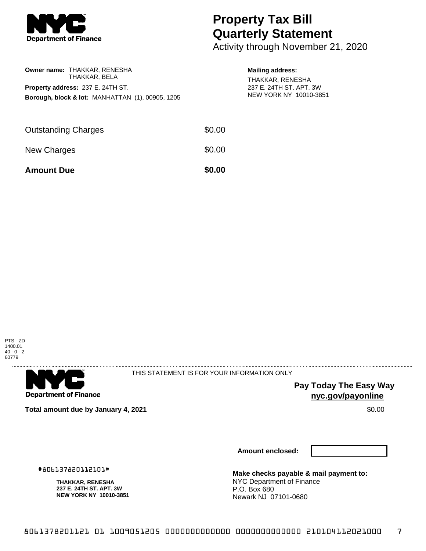

## **Property Tax Bill Quarterly Statement**

Activity through November 21, 2020

| Owner name: THAKKAR, RENESHA             | THAKKAR. BELA |  |                                                             |  |  |  |
|------------------------------------------|---------------|--|-------------------------------------------------------------|--|--|--|
| <b>Property address: 237 E. 24TH ST.</b> |               |  |                                                             |  |  |  |
|                                          |               |  | <b>Borough, block &amp; lot: MANHATTAN (1), 00905, 1205</b> |  |  |  |
|                                          |               |  |                                                             |  |  |  |

## **Mailing address:**

THAKKAR, RENESHA 237 E. 24TH ST. APT. 3W NEW YORK NY 10010-3851

| <b>Amount Due</b>          | \$0.00 |
|----------------------------|--------|
| New Charges                | \$0.00 |
| <b>Outstanding Charges</b> | \$0.00 |





THIS STATEMENT IS FOR YOUR INFORMATION ONLY

**Pay Today The Easy Way nyc.gov/payonline**

**Total amount due by January 4, 2021 \$0.00**  $\bullet$  **\$0.00**  $\bullet$  **\$0.00**  $\bullet$  \$0.00

**Amount enclosed:**

#806137820112101#

**THAKKAR, RENESHA 237 E. 24TH ST. APT. 3W NEW YORK NY 10010-3851** **Make checks payable & mail payment to:** NYC Department of Finance P.O. Box 680 Newark NJ 07101-0680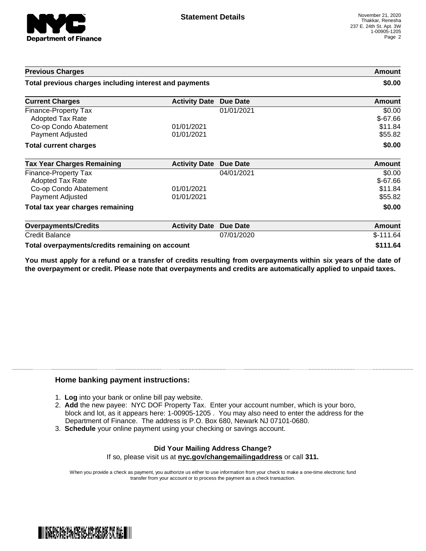

| <b>Previous Charges</b><br>Total previous charges including interest and payments                   |                          |                 | Amount<br>\$0.00                          |
|-----------------------------------------------------------------------------------------------------|--------------------------|-----------------|-------------------------------------------|
|                                                                                                     |                          |                 |                                           |
| Finance-Property Tax<br><b>Adopted Tax Rate</b><br>Co-op Condo Abatement                            | 01/01/2021               | 01/01/2021      | \$0.00<br>$$-67.66$<br>\$11.84            |
| Payment Adjusted                                                                                    | 01/01/2021               |                 | \$55.82                                   |
| <b>Total current charges</b>                                                                        |                          |                 | \$0.00                                    |
| <b>Tax Year Charges Remaining</b>                                                                   | <b>Activity Date</b>     | <b>Due Date</b> | <b>Amount</b>                             |
| <b>Finance-Property Tax</b><br><b>Adopted Tax Rate</b><br>Co-op Condo Abatement<br>Payment Adjusted | 01/01/2021<br>01/01/2021 | 04/01/2021      | \$0.00<br>$$-67.66$<br>\$11.84<br>\$55.82 |
| Total tax year charges remaining                                                                    |                          |                 | \$0.00                                    |
| <b>Overpayments/Credits</b>                                                                         | <b>Activity Date</b>     | <b>Due Date</b> | Amount                                    |
| <b>Credit Balance</b>                                                                               |                          | 07/01/2020      | $$-111.64$                                |
| Total overpayments/credits remaining on account                                                     |                          |                 | \$111.64                                  |

You must apply for a refund or a transfer of credits resulting from overpayments within six years of the date of **the overpayment or credit. Please note that overpayments and credits are automatically applied to unpaid taxes.**

## **Home banking payment instructions:**

- 1. **Log** into your bank or online bill pay website.
- 2. **Add** the new payee: NYC DOF Property Tax. Enter your account number, which is your boro, block and lot, as it appears here: 1-00905-1205 . You may also need to enter the address for the Department of Finance. The address is P.O. Box 680, Newark NJ 07101-0680.
- 3. **Schedule** your online payment using your checking or savings account.

## **Did Your Mailing Address Change?** If so, please visit us at **nyc.gov/changemailingaddress** or call **311.**

When you provide a check as payment, you authorize us either to use information from your check to make a one-time electronic fund transfer from your account or to process the payment as a check transaction.